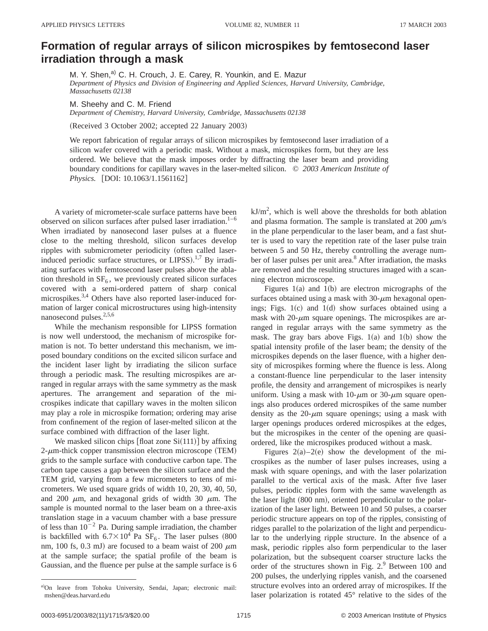## **Formation of regular arrays of silicon microspikes by femtosecond laser irradiation through a mask**

M. Y. Shen,<sup>a)</sup> C. H. Crouch, J. E. Carey, R. Younkin, and E. Mazur *Department of Physics and Division of Engineering and Applied Sciences, Harvard University, Cambridge, Massachusetts 02138*

M. Sheehy and C. M. Friend

*Department of Chemistry, Harvard University, Cambridge, Massachusetts 02138*

(Received 3 October 2002; accepted 22 January 2003)

We report fabrication of regular arrays of silicon microspikes by femtosecond laser irradiation of a silicon wafer covered with a periodic mask. Without a mask, microspikes form, but they are less ordered. We believe that the mask imposes order by diffracting the laser beam and providing boundary conditions for capillary waves in the laser-melted silicon. © *2003 American Institute of Physics.* [DOI: 10.1063/1.1561162]

A variety of micrometer-scale surface patterns have been observed on silicon surfaces after pulsed laser irradiation. $1-6$ When irradiated by nanosecond laser pulses at a fluence close to the melting threshold, silicon surfaces develop ripples with submicrometer periodicity (often called laserinduced periodic surface structures, or LIPSS).<sup>1,7</sup> By irradiating surfaces with femtosecond laser pulses above the ablation threshold in  $SF<sub>6</sub>$ , we previously created silicon surfaces covered with a semi-ordered pattern of sharp conical microspikes.<sup>3,4</sup> Others have also reported laser-induced formation of larger conical microstructures using high-intensity nanosecond pulses. $2,5,6$ 

While the mechanism responsible for LIPSS formation is now well understood, the mechanism of microspike formation is not. To better understand this mechanism, we imposed boundary conditions on the excited silicon surface and the incident laser light by irradiating the silicon surface through a periodic mask. The resulting microspikes are arranged in regular arrays with the same symmetry as the mask apertures. The arrangement and separation of the microspikes indicate that capillary waves in the molten silicon may play a role in microspike formation; ordering may arise from confinement of the region of laser-melted silicon at the surface combined with diffraction of the laser light.

We masked silicon chips  $[float zone Si(111)]$  by affixing  $2$ - $\mu$ m-thick copper transmission electron microscope (TEM) grids to the sample surface with conductive carbon tape. The carbon tape causes a gap between the silicon surface and the TEM grid, varying from a few micrometers to tens of micrometers. We used square grids of width 10, 20, 30, 40, 50, and 200  $\mu$ m, and hexagonal grids of width 30  $\mu$ m. The sample is mounted normal to the laser beam on a three-axis translation stage in a vacuum chamber with a base pressure of less than  $10^{-2}$  Pa. During sample irradiation, the chamber is backfilled with  $6.7\times10^4$  Pa SF<sub>6</sub>. The laser pulses (800) nm, 100 fs, 0.3 mJ) are focused to a beam waist of 200  $\mu$ m at the sample surface; the spatial profile of the beam is Gaussian, and the fluence per pulse at the sample surface is 6

 $kJ/m<sup>2</sup>$ , which is well above the thresholds for both ablation and plasma formation. The sample is translated at 200  $\mu$ m/s in the plane perpendicular to the laser beam, and a fast shutter is used to vary the repetition rate of the laser pulse train between 5 and 50 Hz, thereby controlling the average number of laser pulses per unit area.<sup>8</sup> After irradiation, the masks are removed and the resulting structures imaged with a scanning electron microscope.

Figures  $1(a)$  and  $1(b)$  are electron micrographs of the surfaces obtained using a mask with  $30-\mu m$  hexagonal openings; Figs.  $1(c)$  and  $1(d)$  show surfaces obtained using a mask with  $20$ - $\mu$ m square openings. The microspikes are arranged in regular arrays with the same symmetry as the mask. The gray bars above Figs.  $1(a)$  and  $1(b)$  show the spatial intensity profile of the laser beam; the density of the microspikes depends on the laser fluence, with a higher density of microspikes forming where the fluence is less. Along a constant-fluence line perpendicular to the laser intensity profile, the density and arrangement of microspikes is nearly uniform. Using a mask with  $10$ - $\mu$ m or 30- $\mu$ m square openings also produces ordered microspikes of the same number density as the  $20$ - $\mu$ m square openings; using a mask with larger openings produces ordered microspikes at the edges, but the microspikes in the center of the opening are quasiordered, like the microspikes produced without a mask.

Figures  $2(a)-2(e)$  show the development of the microspikes as the number of laser pulses increases, using a mask with square openings, and with the laser polarization parallel to the vertical axis of the mask. After five laser pulses, periodic ripples form with the same wavelength as the laser light (800 nm), oriented perpendicular to the polarization of the laser light. Between 10 and 50 pulses, a coarser periodic structure appears on top of the ripples, consisting of ridges parallel to the polarization of the light and perpendicular to the underlying ripple structure. In the absence of a mask, periodic ripples also form perpendicular to the laser polarization, but the subsequent coarser structure lacks the order of the structures shown in Fig.  $2<sup>9</sup>$  Between 100 and 200 pulses, the underlying ripples vanish, and the coarsened structure evolves into an ordered array of microspikes. If the laser polarization is rotated 45° relative to the sides of the

a)On leave from Tohoku University, Sendai, Japan; electronic mail: mshen@deas.harvard.edu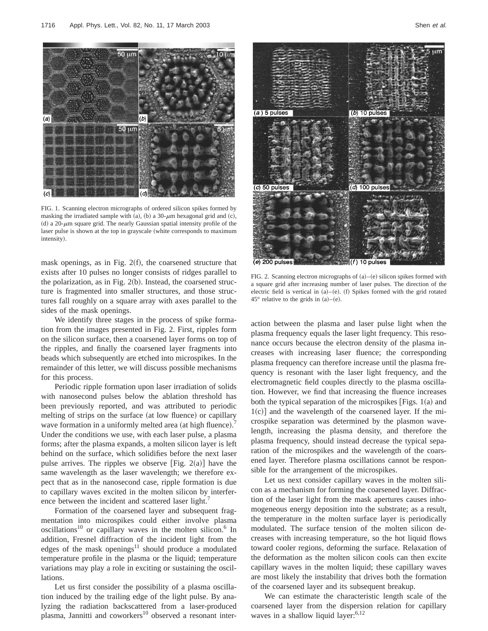

FIG. 1. Scanning electron micrographs of ordered silicon spikes formed by masking the irradiated sample with (a), (b) a 30- $\mu$ m hexagonal grid and (c), (d) a 20- $\mu$ m square grid. The nearly Gaussian spatial intensity profile of the laser pulse is shown at the top in grayscale (white corresponds to maximum intensity).

mask openings, as in Fig.  $2(f)$ , the coarsened structure that exists after 10 pulses no longer consists of ridges parallel to the polarization, as in Fig.  $2(b)$ . Instead, the coarsened structure is fragmented into smaller structures, and those structures fall roughly on a square array with axes parallel to the sides of the mask openings.

We identify three stages in the process of spike formation from the images presented in Fig. 2. First, ripples form on the silicon surface, then a coarsened layer forms on top of the ripples, and finally the coarsened layer fragments into beads which subsequently are etched into microspikes. In the remainder of this letter, we will discuss possible mechanisms for this process.

Periodic ripple formation upon laser irradiation of solids with nanosecond pulses below the ablation threshold has been previously reported, and was attributed to periodic melting of strips on the surface (at low fluence) or capillary wave formation in a uniformly melted area (at high fluence).<sup>7</sup> Under the conditions we use, with each laser pulse, a plasma forms; after the plasma expands, a molten silicon layer is left behind on the surface, which solidifies before the next laser pulse arrives. The ripples we observe [Fig. 2(a)] have the same wavelength as the laser wavelength; we therefore expect that as in the nanosecond case, ripple formation is due to capillary waves excited in the molten silicon by interference between the incident and scattered laser light.<sup>7</sup>

Formation of the coarsened layer and subsequent fragmentation into microspikes could either involve plasma  $oscillations<sup>10</sup>$  or capillary waves in the molten silicon.<sup>6</sup> In addition, Fresnel diffraction of the incident light from the edges of the mask openings<sup>11</sup> should produce a modulated temperature profile in the plasma or the liquid; temperature variations may play a role in exciting or sustaining the oscillations.

Let us first consider the possibility of a plasma oscillation induced by the trailing edge of the light pulse. By analyzing the radiation backscattered from a laser-produced plasma, Jannitti and coworkers $10$  observed a resonant inter-



FIG. 2. Scanning electron micrographs of  $(a)$ – $(e)$  silicon spikes formed with a square grid after increasing number of laser pulses. The direction of the electric field is vertical in  $(a)$ – $(e)$ . (f) Spikes formed with the grid rotated 45 $^{\circ}$  relative to the grids in (a)–(e).

action between the plasma and laser pulse light when the plasma frequency equals the laser light frequency. This resonance occurs because the electron density of the plasma increases with increasing laser fluence; the corresponding plasma frequency can therefore increase until the plasma frequency is resonant with the laser light frequency, and the electromagnetic field couples directly to the plasma oscillation. However, we find that increasing the fluence increases both the typical separation of the microspikes [Figs.  $1(a)$  and  $1(c)$ ] and the wavelength of the coarsened layer. If the microspike separation was determined by the plasmon wavelength, increasing the plasma density, and therefore the plasma frequency, should instead decrease the typical separation of the microspikes and the wavelength of the coarsened layer. Therefore plasma oscillations cannot be responsible for the arrangement of the microspikes.

Let us next consider capillary waves in the molten silicon as a mechanism for forming the coarsened layer. Diffraction of the laser light from the mask apertures causes inhomogeneous energy deposition into the substrate; as a result, the temperature in the molten surface layer is periodically modulated. The surface tension of the molten silicon decreases with increasing temperature, so the hot liquid flows toward cooler regions, deforming the surface. Relaxation of the deformation as the molten silicon cools can then excite capillary waves in the molten liquid; these capillary waves are most likely the instability that drives both the formation of the coarsened layer and its subsequent breakup.

We can estimate the characteristic length scale of the coarsened layer from the dispersion relation for capillary waves in a shallow liquid layer: $6,12$